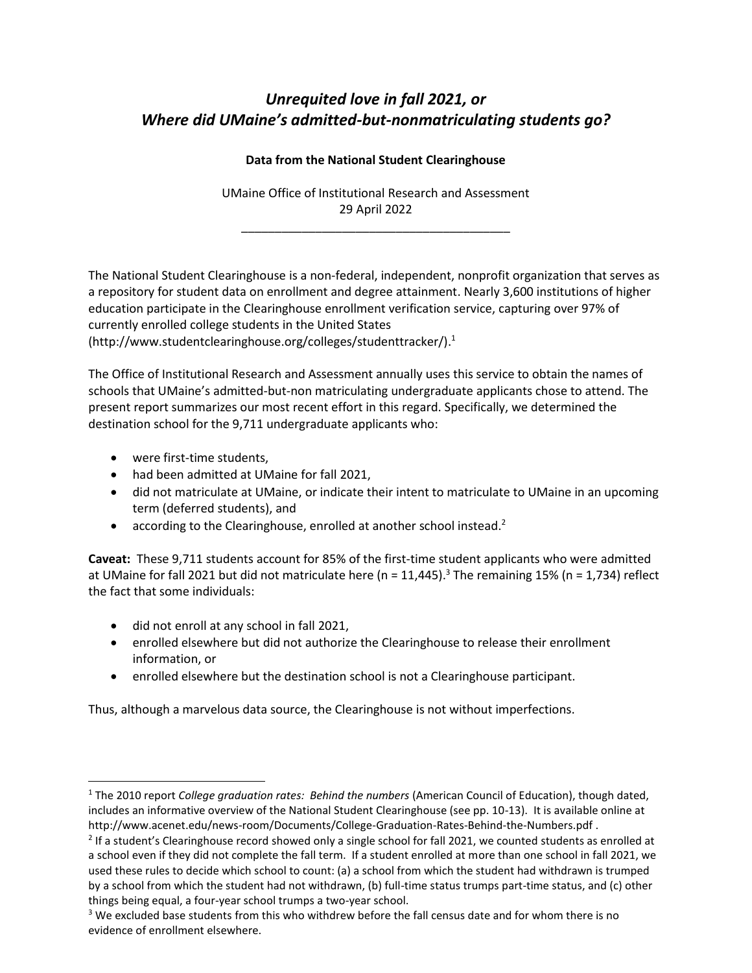# *Unrequited love in fall 2021, or Where did UMaine's admitted-but-nonmatriculating students go?*

## **Data from the National Student Clearinghouse**

UMaine Office of Institutional Research and Assessment 29 April 2022

\_\_\_\_\_\_\_\_\_\_\_\_\_\_\_\_\_\_\_\_\_\_\_\_\_\_\_\_\_\_\_\_\_\_\_\_\_\_\_\_

The National Student Clearinghouse is a non-federal, independent, nonprofit organization that serves as a repository for student data on enrollment and degree attainment. Nearly 3,600 institutions of higher education participate in the Clearinghouse enrollment verification service, capturing over 97% of currently enrolled college students in the United States (http://www.studentclearinghouse.org/colleges/studenttracker/). 1

The Office of Institutional Research and Assessment annually uses this service to obtain the names of schools that UMaine's admitted-but-non matriculating undergraduate applicants chose to attend. The present report summarizes our most recent effort in this regard. Specifically, we determined the destination school for the 9,711 undergraduate applicants who:

- were first-time students,
- had been admitted at UMaine for fall 2021,
- did not matriculate at UMaine, or indicate their intent to matriculate to UMaine in an upcoming term (deferred students), and
- according to the Clearinghouse, enrolled at another school instead.<sup>2</sup>

**Caveat:** These 9,711 students account for 85% of the first-time student applicants who were admitted at UMaine for fall 2021 but did not matriculate here (n = 11,445).<sup>3</sup> The remaining 15% (n = 1,734) reflect the fact that some individuals:

- did not enroll at any school in fall 2021,
- enrolled elsewhere but did not authorize the Clearinghouse to release their enrollment information, or
- enrolled elsewhere but the destination school is not a Clearinghouse participant.

Thus, although a marvelous data source, the Clearinghouse is not without imperfections.

<sup>1</sup> The 2010 report *College graduation rates: Behind the numbers* (American Council of Education), though dated, includes an informative overview of the National Student Clearinghouse (see pp. 10-13). It is available online at http://www.acenet.edu/news-room/Documents/College-Graduation-Rates-Behind-the-Numbers.pdf .

 $2$  If a student's Clearinghouse record showed only a single school for fall 2021, we counted students as enrolled at a school even if they did not complete the fall term. If a student enrolled at more than one school in fall 2021, we used these rules to decide which school to count: (a) a school from which the student had withdrawn is trumped by a school from which the student had not withdrawn, (b) full-time status trumps part-time status, and (c) other things being equal, a four-year school trumps a two-year school.

<sup>&</sup>lt;sup>3</sup> We excluded base students from this who withdrew before the fall census date and for whom there is no evidence of enrollment elsewhere.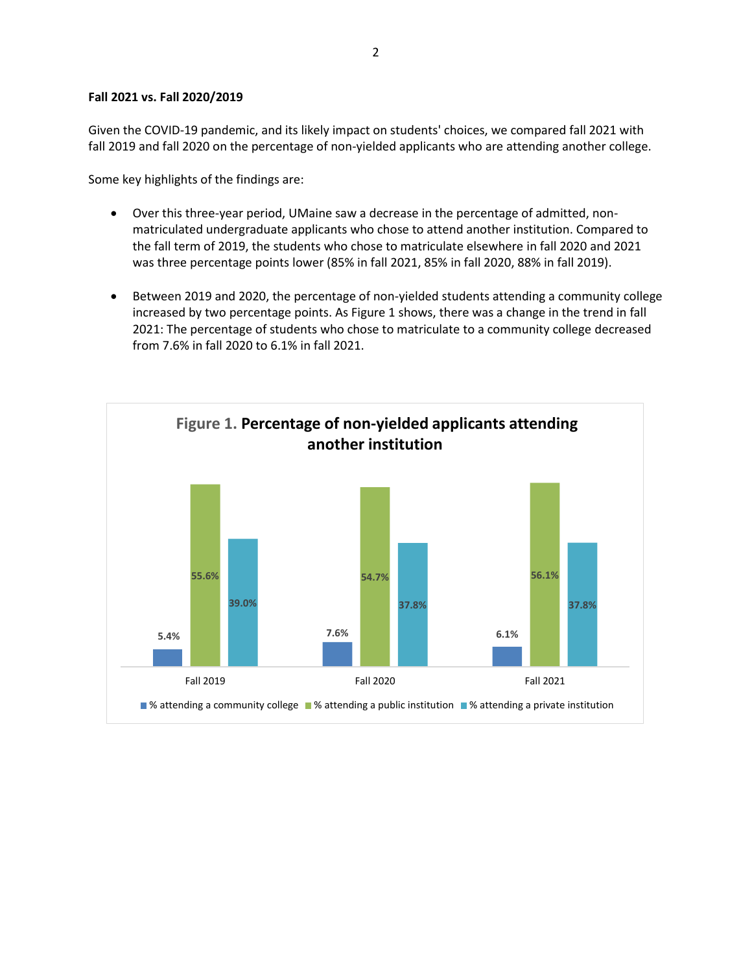#### **Fall 2021 vs. Fall 2020/2019**

Given the COVID-19 pandemic, and its likely impact on students' choices, we compared fall 2021 with fall 2019 and fall 2020 on the percentage of non-yielded applicants who are attending another college.

Some key highlights of the findings are:

- Over this three-year period, UMaine saw a decrease in the percentage of admitted, nonmatriculated undergraduate applicants who chose to attend another institution. Compared to the fall term of 2019, the students who chose to matriculate elsewhere in fall 2020 and 2021 was three percentage points lower (85% in fall 2021, 85% in fall 2020, 88% in fall 2019).
- Between 2019 and 2020, the percentage of non-yielded students attending a community college increased by two percentage points. As Figure 1 shows, there was a change in the trend in fall 2021: The percentage of students who chose to matriculate to a community college decreased from 7.6% in fall 2020 to 6.1% in fall 2021.

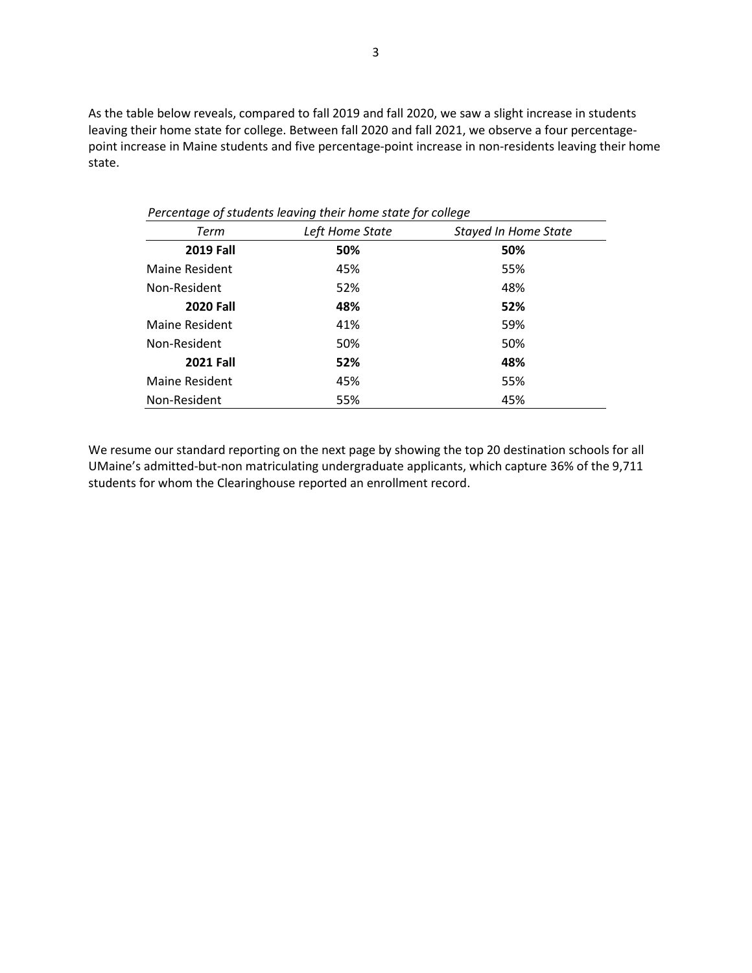As the table below reveals, compared to fall 2019 and fall 2020, we saw a slight increase in students leaving their home state for college. Between fall 2020 and fall 2021, we observe a four percentagepoint increase in Maine students and five percentage-point increase in non-residents leaving their home state.

| , creentage of staachts icaving them nome state for concac |                 |                             |  |  |
|------------------------------------------------------------|-----------------|-----------------------------|--|--|
| Term                                                       | Left Home State | <b>Stayed In Home State</b> |  |  |
| <b>2019 Fall</b>                                           | 50%             | 50%                         |  |  |
| Maine Resident                                             | 45%             | 55%                         |  |  |
| Non-Resident                                               | 52%             | 48%                         |  |  |
| <b>2020 Fall</b>                                           | 48%             | 52%                         |  |  |
| Maine Resident                                             | 41%             | 59%                         |  |  |
| Non-Resident                                               | 50%             | 50%                         |  |  |
| <b>2021 Fall</b>                                           | 52%             | 48%                         |  |  |
| <b>Maine Resident</b>                                      | 45%             | 55%                         |  |  |
| Non-Resident                                               | 55%             | 45%                         |  |  |

 *Percentage of students leaving their home state for college* 

We resume our standard reporting on the next page by showing the top 20 destination schools for all UMaine's admitted-but-non matriculating undergraduate applicants, which capture 36% of the 9,711 students for whom the Clearinghouse reported an enrollment record.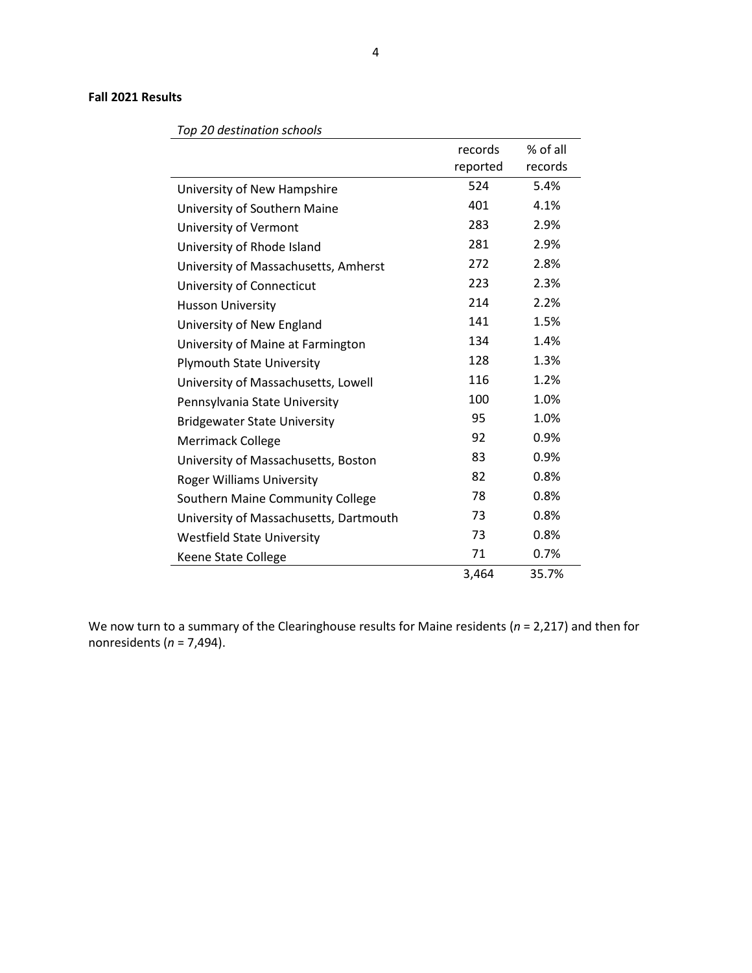### **Fall 2021 Results**

|                                        |          | $%$ of all |
|----------------------------------------|----------|------------|
|                                        | records  |            |
|                                        | reported | records    |
| University of New Hampshire            | 524      | 5.4%       |
| University of Southern Maine           | 401      | 4.1%       |
| University of Vermont                  | 283      | 2.9%       |
| University of Rhode Island             | 281      | 2.9%       |
| University of Massachusetts, Amherst   | 272      | 2.8%       |
| University of Connecticut              | 223      | 2.3%       |
| <b>Husson University</b>               | 214      | 2.2%       |
| University of New England              | 141      | 1.5%       |
| University of Maine at Farmington      | 134      | 1.4%       |
| <b>Plymouth State University</b>       | 128      | 1.3%       |
| University of Massachusetts, Lowell    | 116      | 1.2%       |
| Pennsylvania State University          | 100      | 1.0%       |
| <b>Bridgewater State University</b>    | 95       | 1.0%       |
| <b>Merrimack College</b>               | 92       | 0.9%       |
| University of Massachusetts, Boston    | 83       | 0.9%       |
| <b>Roger Williams University</b>       | 82       | 0.8%       |
| Southern Maine Community College       | 78       | 0.8%       |
| University of Massachusetts, Dartmouth | 73       | 0.8%       |
| <b>Westfield State University</b>      | 73       | 0.8%       |
| Keene State College                    | 71       | 0.7%       |
|                                        | 3,464    | 35.7%      |

### *Top 20 destination schools*

We now turn to a summary of the Clearinghouse results for Maine residents (*n* = 2,217) and then for nonresidents (*n* = 7,494).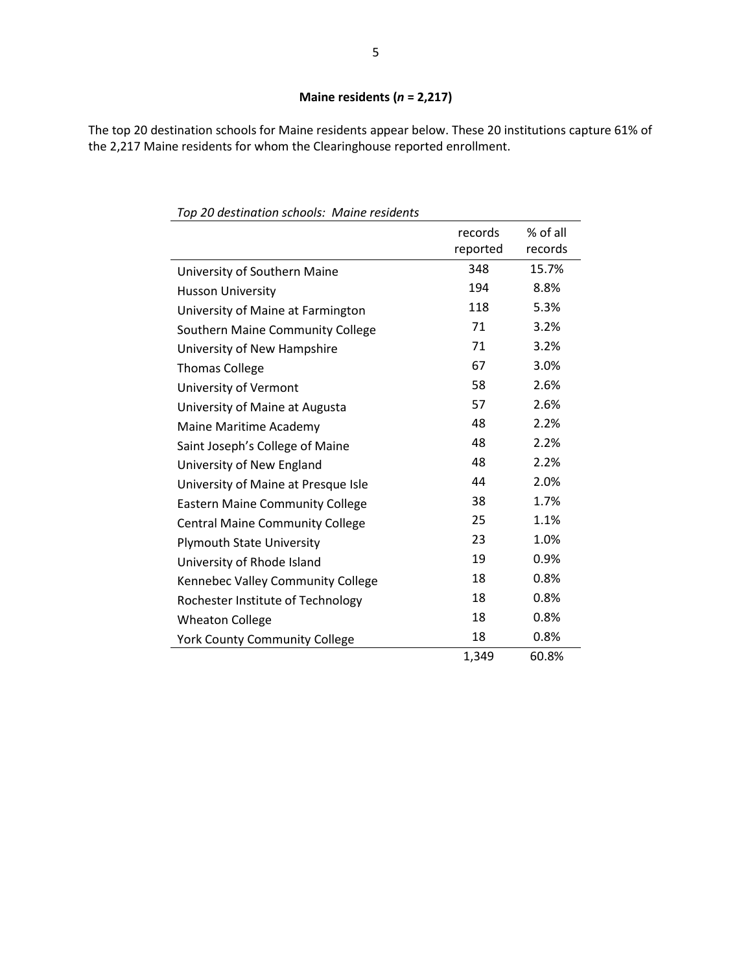The top 20 destination schools for Maine residents appear below. These 20 institutions capture 61% of the 2,217 Maine residents for whom the Clearinghouse reported enrollment.

|                                        | records<br>reported | % of all<br>records |
|----------------------------------------|---------------------|---------------------|
| University of Southern Maine           | 348                 | 15.7%               |
| <b>Husson University</b>               | 194                 | 8.8%                |
| University of Maine at Farmington      | 118                 | 5.3%                |
| Southern Maine Community College       | 71                  | 3.2%                |
| University of New Hampshire            | 71                  | 3.2%                |
| <b>Thomas College</b>                  | 67                  | 3.0%                |
| University of Vermont                  | 58                  | 2.6%                |
| University of Maine at Augusta         | 57                  | 2.6%                |
| Maine Maritime Academy                 | 48                  | 2.2%                |
| Saint Joseph's College of Maine        | 48                  | 2.2%                |
| University of New England              | 48                  | 2.2%                |
| University of Maine at Presque Isle    | 44                  | 2.0%                |
| <b>Eastern Maine Community College</b> | 38                  | 1.7%                |
| <b>Central Maine Community College</b> | 25                  | 1.1%                |
| <b>Plymouth State University</b>       | 23                  | 1.0%                |
| University of Rhode Island             | 19                  | 0.9%                |
| Kennebec Valley Community College      | 18                  | 0.8%                |
| Rochester Institute of Technology      | 18                  | 0.8%                |
| <b>Wheaton College</b>                 | 18                  | 0.8%                |
| <b>York County Community College</b>   | 18                  | 0.8%                |
|                                        | 1,349               | 60.8%               |

*Top 20 destination schools: Maine residents*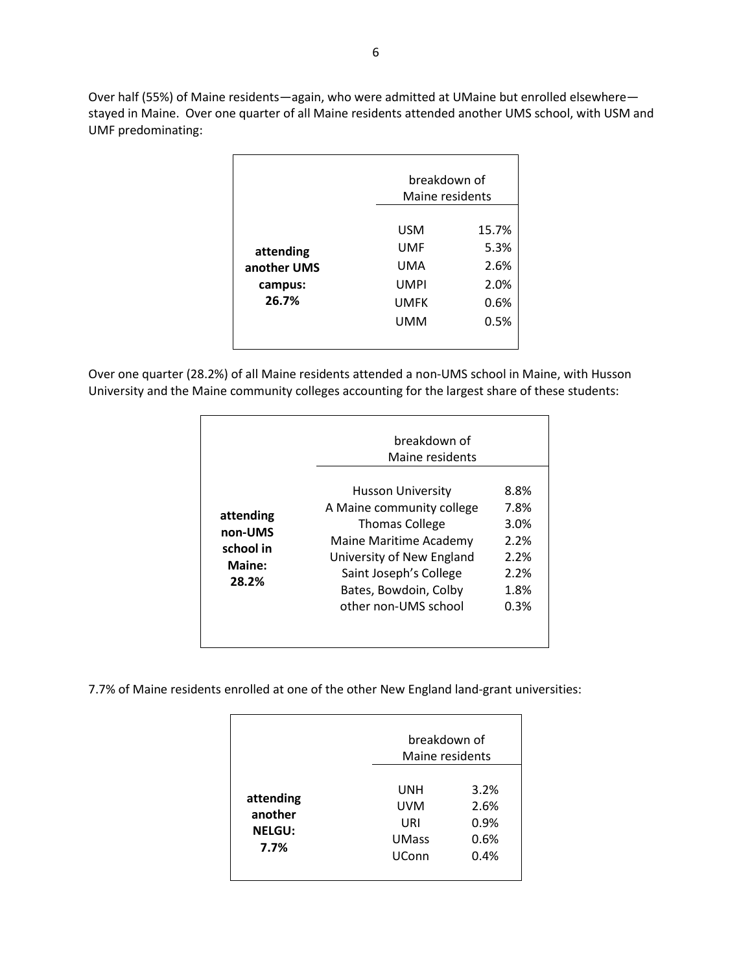Over half (55%) of Maine residents—again, who were admitted at UMaine but enrolled elsewhere stayed in Maine. Over one quarter of all Maine residents attended another UMS school, with USM and UMF predominating:

|                                              |                                                               | breakdown of<br>Maine residents               |  |
|----------------------------------------------|---------------------------------------------------------------|-----------------------------------------------|--|
| attending<br>another UMS<br>campus:<br>26.7% | <b>USM</b><br>UMF<br>UMA<br><b>UMPI</b><br><b>UMFK</b><br>UMM | 15.7%<br>5.3%<br>2.6%<br>2.0%<br>0.6%<br>0.5% |  |

Over one quarter (28.2%) of all Maine residents attended a non-UMS school in Maine, with Husson University and the Maine community colleges accounting for the largest share of these students:

|                                                      | breakdown of<br>Maine residents                                                                                                                                                                           |                                                              |
|------------------------------------------------------|-----------------------------------------------------------------------------------------------------------------------------------------------------------------------------------------------------------|--------------------------------------------------------------|
| attending<br>non-UMS<br>school in<br>Maine:<br>28.2% | Husson University<br>A Maine community college<br><b>Thomas College</b><br>Maine Maritime Academy<br>University of New England<br>Saint Joseph's College<br>Bates, Bowdoin, Colby<br>other non-UMS school | 8.8%<br>7.8%<br>3.0%<br>2.2%<br>2.2%<br>2.2%<br>1.8%<br>0.3% |

7.7% of Maine residents enrolled at one of the other New England land-grant universities:

|                                               |                                                          | breakdown of<br>Maine residents      |  |
|-----------------------------------------------|----------------------------------------------------------|--------------------------------------|--|
| attending<br>another<br><b>NELGU:</b><br>7.7% | UNH<br><b>UVM</b><br>URI<br><b>UMass</b><br><b>UConn</b> | 3.2%<br>2.6%<br>0.9%<br>0.6%<br>0.4% |  |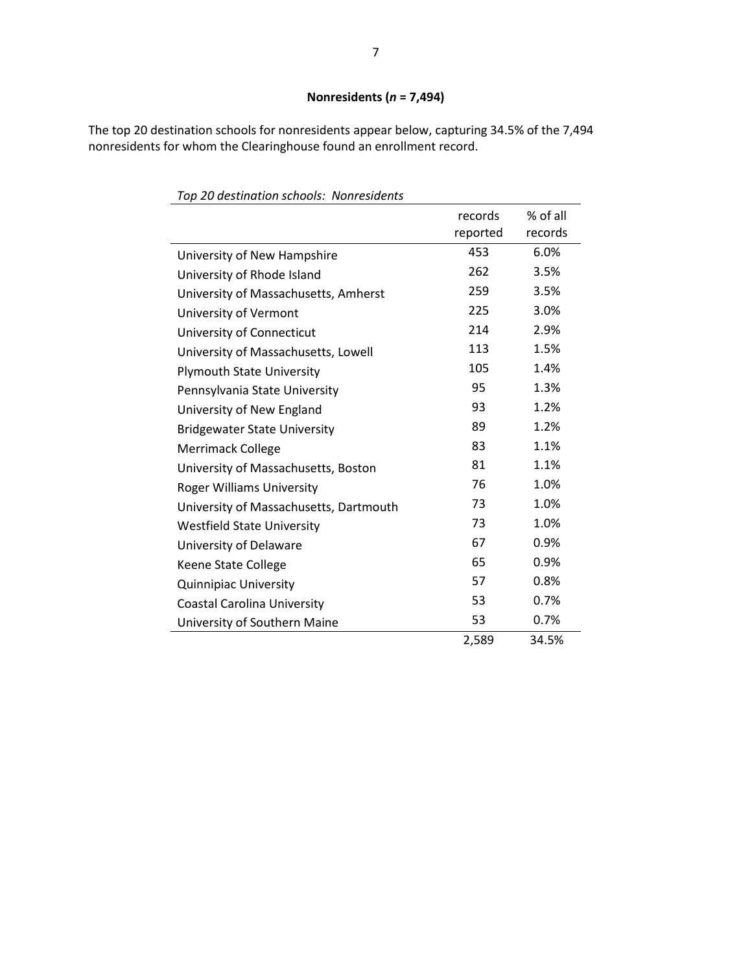# **Nonresidents (***n* **= 7,494)**

The top 20 destination schools for nonresidents appear below, capturing 34.5% of the 7,494 nonresidents for whom the Clearinghouse found an enrollment record.

| rop zo acsimation schools. Trom csiachts |                     |                     |
|------------------------------------------|---------------------|---------------------|
|                                          | records<br>reported | % of all<br>records |
| University of New Hampshire              | 453                 | 6.0%                |
| University of Rhode Island               | 262                 | 3.5%                |
| University of Massachusetts, Amherst     | 259                 | 3.5%                |
| University of Vermont                    | 225                 | 3.0%                |
| University of Connecticut                | 214                 | 2.9%                |
| University of Massachusetts, Lowell      | 113                 | 1.5%                |
| <b>Plymouth State University</b>         | 105                 | 1.4%                |
| Pennsylvania State University            | 95                  | 1.3%                |
| University of New England                | 93                  | 1.2%                |
| <b>Bridgewater State University</b>      | 89                  | 1.2%                |
| <b>Merrimack College</b>                 | 83                  | 1.1%                |
| University of Massachusetts, Boston      | 81                  | 1.1%                |
| <b>Roger Williams University</b>         | 76                  | 1.0%                |
| University of Massachusetts, Dartmouth   | 73                  | 1.0%                |
| <b>Westfield State University</b>        | 73                  | 1.0%                |
| University of Delaware                   | 67                  | 0.9%                |
| Keene State College                      | 65                  | 0.9%                |
| <b>Quinnipiac University</b>             | 57                  | 0.8%                |
| <b>Coastal Carolina University</b>       | 53                  | 0.7%                |
| University of Southern Maine             | 53                  | 0.7%                |
|                                          | 2,589               | 34.5%               |
|                                          |                     |                     |

*Top 20 destination schools: Nonresidents*